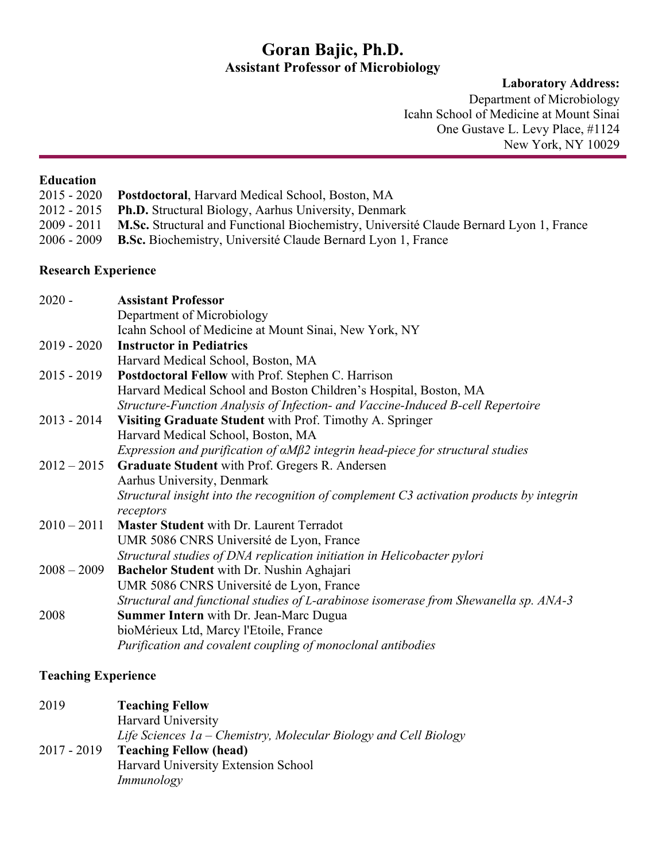# **Goran Bajic, Ph.D. Assistant Professor of Microbiology**

**Laboratory Address:**

Department of Microbiology Icahn School of Medicine at Mount Sinai One Gustave L. Levy Place, #1124 New York, NY 10029

#### **Education**

| $2015 - 2020$ | <b>Postdoctoral, Harvard Medical School, Boston, MA</b>                                            |
|---------------|----------------------------------------------------------------------------------------------------|
|               | 2012 - 2015 Ph.D. Structural Biology, Aarhus University, Denmark                                   |
|               | 2009 - 2011 M.Sc. Structural and Functional Biochemistry, Université Claude Bernard Lyon 1, France |
| 2006 - 2009   | <b>B.Sc.</b> Biochemistry, Université Claude Bernard Lyon 1, France                                |

# **Research Experience**

| Department of Microbiology<br>Icahn School of Medicine at Mount Sinai, New York, NY<br>$2019 - 2020$<br><b>Instructor in Pediatrics</b><br>Harvard Medical School, Boston, MA<br><b>Postdoctoral Fellow</b> with Prof. Stephen C. Harrison<br>$2015 - 2019$<br>Harvard Medical School and Boston Children's Hospital, Boston, MA<br>Structure-Function Analysis of Infection- and Vaccine-Induced B-cell Repertoire<br>$2013 - 2014$<br>Visiting Graduate Student with Prof. Timothy A. Springer<br>Harvard Medical School, Boston, MA<br>Expression and purification of $\alpha M\beta$ 2 integrin head-piece for structural studies |
|---------------------------------------------------------------------------------------------------------------------------------------------------------------------------------------------------------------------------------------------------------------------------------------------------------------------------------------------------------------------------------------------------------------------------------------------------------------------------------------------------------------------------------------------------------------------------------------------------------------------------------------|
|                                                                                                                                                                                                                                                                                                                                                                                                                                                                                                                                                                                                                                       |
|                                                                                                                                                                                                                                                                                                                                                                                                                                                                                                                                                                                                                                       |
|                                                                                                                                                                                                                                                                                                                                                                                                                                                                                                                                                                                                                                       |
|                                                                                                                                                                                                                                                                                                                                                                                                                                                                                                                                                                                                                                       |
|                                                                                                                                                                                                                                                                                                                                                                                                                                                                                                                                                                                                                                       |
|                                                                                                                                                                                                                                                                                                                                                                                                                                                                                                                                                                                                                                       |
|                                                                                                                                                                                                                                                                                                                                                                                                                                                                                                                                                                                                                                       |
|                                                                                                                                                                                                                                                                                                                                                                                                                                                                                                                                                                                                                                       |
|                                                                                                                                                                                                                                                                                                                                                                                                                                                                                                                                                                                                                                       |
|                                                                                                                                                                                                                                                                                                                                                                                                                                                                                                                                                                                                                                       |
| Graduate Student with Prof. Gregers R. Andersen<br>$2012 - 2015$                                                                                                                                                                                                                                                                                                                                                                                                                                                                                                                                                                      |
| Aarhus University, Denmark                                                                                                                                                                                                                                                                                                                                                                                                                                                                                                                                                                                                            |
| Structural insight into the recognition of complement C3 activation products by integrin<br>receptors                                                                                                                                                                                                                                                                                                                                                                                                                                                                                                                                 |
| $2010 - 2011$<br><b>Master Student</b> with Dr. Laurent Terradot                                                                                                                                                                                                                                                                                                                                                                                                                                                                                                                                                                      |
| UMR 5086 CNRS Université de Lyon, France                                                                                                                                                                                                                                                                                                                                                                                                                                                                                                                                                                                              |
| Structural studies of DNA replication initiation in Helicobacter pylori                                                                                                                                                                                                                                                                                                                                                                                                                                                                                                                                                               |
| $2008 - 2009$<br>Bachelor Student with Dr. Nushin Aghajari                                                                                                                                                                                                                                                                                                                                                                                                                                                                                                                                                                            |
| UMR 5086 CNRS Université de Lyon, France                                                                                                                                                                                                                                                                                                                                                                                                                                                                                                                                                                                              |
| Structural and functional studies of L-arabinose isomerase from Shewanella sp. ANA-3                                                                                                                                                                                                                                                                                                                                                                                                                                                                                                                                                  |
| <b>Summer Intern</b> with Dr. Jean-Marc Dugua<br>2008                                                                                                                                                                                                                                                                                                                                                                                                                                                                                                                                                                                 |
| bioMérieux Ltd, Marcy l'Etoile, France                                                                                                                                                                                                                                                                                                                                                                                                                                                                                                                                                                                                |
| Purification and covalent coupling of monoclonal antibodies                                                                                                                                                                                                                                                                                                                                                                                                                                                                                                                                                                           |

# **Teaching Experience**

| 2019        | <b>Teaching Fellow</b>                                             |
|-------------|--------------------------------------------------------------------|
|             | <b>Harvard University</b>                                          |
|             | Life Sciences $1a$ – Chemistry, Molecular Biology and Cell Biology |
| 2017 - 2019 | <b>Teaching Fellow (head)</b>                                      |
|             | Harvard University Extension School                                |
|             | Immunology                                                         |
|             |                                                                    |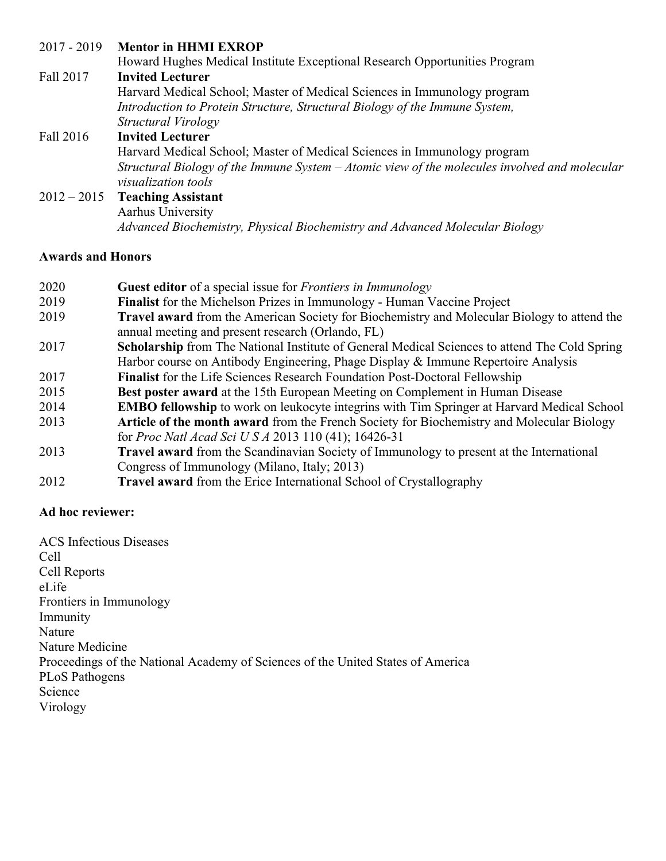## 2017 - 2019 **Mentor in HHMI EXROP**

|           | Howard Hughes Medical Institute Exceptional Research Opportunities Program                      |
|-----------|-------------------------------------------------------------------------------------------------|
| Fall 2017 | <b>Invited Lecturer</b>                                                                         |
|           | Harvard Medical School; Master of Medical Sciences in Immunology program                        |
|           | Introduction to Protein Structure, Structural Biology of the Immune System,                     |
|           | Structural Virology                                                                             |
| Fall 2016 | <b>Invited Lecturer</b>                                                                         |
|           | Harvard Medical School; Master of Medical Sciences in Immunology program                        |
|           | Structural Biology of the Immune System $-A$ tomic view of the molecules involved and molecular |
|           | <i>visualization tools</i>                                                                      |
|           | $2012 - 2015$ Teaching Assistant                                                                |
|           | Aarhus University                                                                               |
|           | Advanced Biochemistry, Physical Biochemistry and Advanced Molecular Biology                     |

#### **Awards and Honors**

| 2020 | <b>Guest editor</b> of a special issue for <i>Frontiers in Immunology</i>                                                                               |
|------|---------------------------------------------------------------------------------------------------------------------------------------------------------|
| 2019 | <b>Finalist</b> for the Michelson Prizes in Immunology - Human Vaccine Project                                                                          |
| 2019 | <b>Travel award</b> from the American Society for Biochemistry and Molecular Biology to attend the<br>annual meeting and present research (Orlando, FL) |
| 2017 | <b>Scholarship from The National Institute of General Medical Sciences to attend The Cold Spring</b>                                                    |
|      | Harbor course on Antibody Engineering, Phage Display & Immune Repertoire Analysis                                                                       |
| 2017 | <b>Finalist</b> for the Life Sciences Research Foundation Post-Doctoral Fellowship                                                                      |
| 2015 | <b>Best poster award</b> at the 15th European Meeting on Complement in Human Disease                                                                    |
| 2014 | <b>EMBO fellowship</b> to work on leukocyte integrins with Tim Springer at Harvard Medical School                                                       |
| 2013 | Article of the month award from the French Society for Biochemistry and Molecular Biology                                                               |
|      | for Proc Natl Acad Sci U S A 2013 110 (41); 16426-31                                                                                                    |
| 2013 | <b>Travel award</b> from the Scandinavian Society of Immunology to present at the International                                                         |
|      | Congress of Immunology (Milano, Italy; 2013)                                                                                                            |
| 2012 | Travel award from the Erice International School of Crystallography                                                                                     |

#### **Ad hoc reviewer:**

ACS Infectious Diseases Cell Cell Reports eLife Frontiers in Immunology Immunity Nature Nature Medicine Proceedings of the National Academy of Sciences of the United States of America PLoS Pathogens Science Virology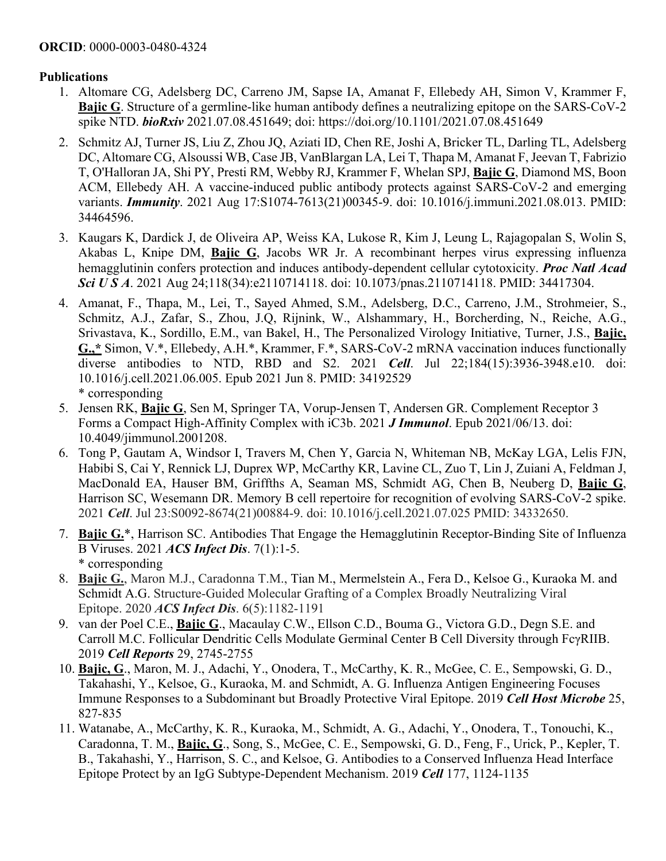#### **Publications**

- 1. Altomare CG, Adelsberg DC, Carreno JM, Sapse IA, Amanat F, Ellebedy AH, Simon V, Krammer F, **Bajic G**. Structure of a germline-like human antibody defines a neutralizing epitope on the SARS-CoV-2 spike NTD. *bioRxiv* 2021.07.08.451649; doi: https://doi.org/10.1101/2021.07.08.451649
- 2. Schmitz AJ, Turner JS, Liu Z, Zhou JQ, Aziati ID, Chen RE, Joshi A, Bricker TL, Darling TL, Adelsberg DC, Altomare CG, Alsoussi WB, Case JB, VanBlargan LA, Lei T, Thapa M, Amanat F, Jeevan T, Fabrizio T, O'Halloran JA, Shi PY, Presti RM, Webby RJ, Krammer F, Whelan SPJ, **Bajic G**, Diamond MS, Boon ACM, Ellebedy AH. A vaccine-induced public antibody protects against SARS-CoV-2 and emerging variants. *Immunity*. 2021 Aug 17:S1074-7613(21)00345-9. doi: 10.1016/j.immuni.2021.08.013. PMID: 34464596.
- 3. Kaugars K, Dardick J, de Oliveira AP, Weiss KA, Lukose R, Kim J, Leung L, Rajagopalan S, Wolin S, Akabas L, Knipe DM, **Bajic G**, Jacobs WR Jr. A recombinant herpes virus expressing influenza hemagglutinin confers protection and induces antibody-dependent cellular cytotoxicity. *Proc Natl Acad Sci U S A*. 2021 Aug 24;118(34):e2110714118. doi: 10.1073/pnas.2110714118. PMID: 34417304.
- 4. Amanat, F., Thapa, M., Lei, T., Sayed Ahmed, S.M., Adelsberg, D.C., Carreno, J.M., Strohmeier, S., Schmitz, A.J., Zafar, S., Zhou, J.Q, Rijnink, W., Alshammary, H., Borcherding, N., Reiche, A.G., Srivastava, K., Sordillo, E.M., van Bakel, H., The Personalized Virology Initiative, Turner, J.S., **Bajic, G.,\*** Simon, V.\*, Ellebedy, A.H.\*, Krammer, F.\*, SARS-CoV-2 mRNA vaccination induces functionally diverse antibodies to NTD, RBD and S2. 2021 *Cell*. Jul 22;184(15):3936-3948.e10. doi: 10.1016/j.cell.2021.06.005. Epub 2021 Jun 8. PMID: 34192529 \* corresponding
- 5. Jensen RK, **Bajic G**, Sen M, Springer TA, Vorup-Jensen T, Andersen GR. Complement Receptor 3 Forms a Compact High-Affinity Complex with iC3b. 2021 *J Immunol*. Epub 2021/06/13. doi: 10.4049/jimmunol.2001208.
- 6. Tong P, Gautam A, Windsor I, Travers M, Chen Y, Garcia N, Whiteman NB, McKay LGA, Lelis FJN, Habibi S, Cai Y, Rennick LJ, Duprex WP, McCarthy KR, Lavine CL, Zuo T, Lin J, Zuiani A, Feldman J, MacDonald EA, Hauser BM, Griffths A, Seaman MS, Schmidt AG, Chen B, Neuberg D, **Bajic G**, Harrison SC, Wesemann DR. Memory B cell repertoire for recognition of evolving SARS-CoV-2 spike. 2021 *Cell*. Jul 23:S0092-8674(21)00884-9. doi: 10.1016/j.cell.2021.07.025 PMID: 34332650.
- 7. **Bajic G.**\*, Harrison SC. Antibodies That Engage the Hemagglutinin Receptor-Binding Site of Influenza B Viruses. 2021 *ACS Infect Dis*. 7(1):1-5. \* corresponding
- 8. **Bajic G.**, Maron M.J., Caradonna T.M., Tian M., Mermelstein A., Fera D., Kelsoe G., Kuraoka M. and Schmidt A.G. Structure-Guided Molecular Grafting of a Complex Broadly Neutralizing Viral Epitope. 2020 *ACS Infect Dis*. 6(5):1182-1191
- 9. van der Poel C.E., **Bajic G**., Macaulay C.W., Ellson C.D., Bouma G., Victora G.D., Degn S.E. and Carroll M.C. Follicular Dendritic Cells Modulate Germinal Center B Cell Diversity through FcγRIIB. 2019 *Cell Reports* 29, 2745-2755
- 10. **Bajic, G**., Maron, M. J., Adachi, Y., Onodera, T., McCarthy, K. R., McGee, C. E., Sempowski, G. D., Takahashi, Y., Kelsoe, G., Kuraoka, M. and Schmidt, A. G. Influenza Antigen Engineering Focuses Immune Responses to a Subdominant but Broadly Protective Viral Epitope. 2019 *Cell Host Microbe* 25, 827-835
- 11. Watanabe, A., McCarthy, K. R., Kuraoka, M., Schmidt, A. G., Adachi, Y., Onodera, T., Tonouchi, K., Caradonna, T. M., **Bajic, G**., Song, S., McGee, C. E., Sempowski, G. D., Feng, F., Urick, P., Kepler, T. B., Takahashi, Y., Harrison, S. C., and Kelsoe, G. Antibodies to a Conserved Influenza Head Interface Epitope Protect by an IgG Subtype-Dependent Mechanism. 2019 *Cell* 177, 1124-1135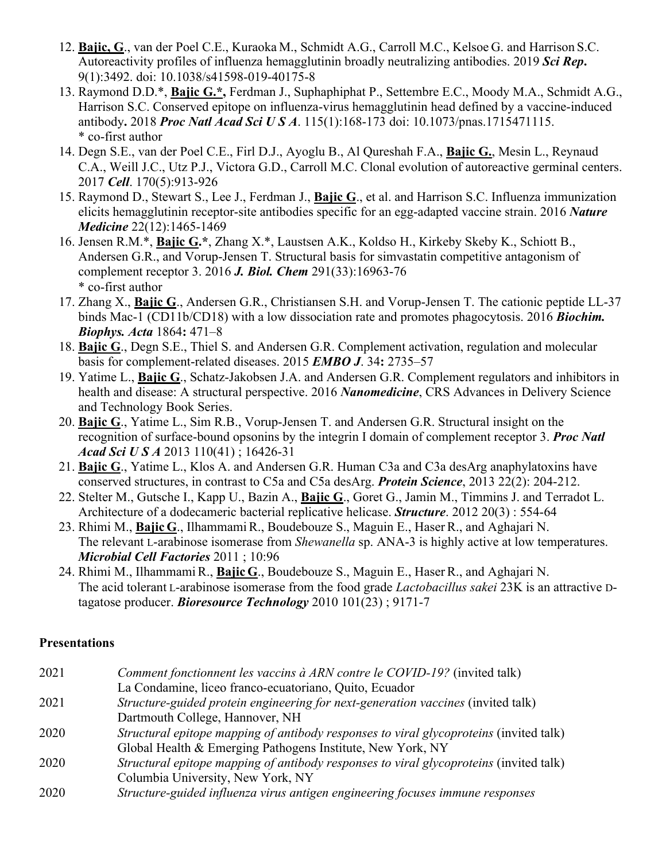- 12. **Bajic, G**., van der Poel C.E., Kuraoka M., Schmidt A.G., Carroll M.C., Kelsoe G. and Harrison S.C. Autoreactivity profiles of influenza hemagglutinin broadly neutralizing antibodies. 2019 *Sci Rep***.** 9(1):3492. doi: 10.1038/s41598-019-40175-8
- 13. Raymond D.D.\*, **Bajic G.\*,** Ferdman J., Suphaphiphat P., Settembre E.C., Moody M.A., Schmidt A.G., Harrison S.C. Conserved epitope on influenza-virus hemagglutinin head defined by a vaccine-induced antibody**.** 2018 *Proc Natl Acad Sci U S A*. 115(1):168-173 doi: 10.1073/pnas.1715471115. \* co-first author
- 14. Degn S.E., van der Poel C.E., Firl D.J., Ayoglu B., Al Qureshah F.A., **Bajic G.**, Mesin L., Reynaud C.A., Weill J.C., Utz P.J., Victora G.D., Carroll M.C. Clonal evolution of autoreactive germinal centers. 2017 *Cell*. 170(5):913-926
- 15. Raymond D., Stewart S., Lee J., Ferdman J., **Bajic G**., et al. and Harrison S.C. Influenza immunization elicits hemagglutinin receptor-site antibodies specific for an egg-adapted vaccine strain. 2016 *Nature Medicine* 22(12):1465-1469
- 16. Jensen R.M.\*, **Bajic G.\***, Zhang X.\*, Laustsen A.K., Koldso H., Kirkeby Skeby K., Schiott B., Andersen G.R., and Vorup-Jensen T. Structural basis for simvastatin competitive antagonism of complement receptor 3. 2016 *J. Biol. Chem* 291(33):16963-76 \* co-first author
- 17. Zhang X., **Bajic G**., Andersen G.R., Christiansen S.H. and Vorup-Jensen T. The cationic peptide LL-37 binds Mac-1 (CD11b/CD18) with a low dissociation rate and promotes phagocytosis. 2016 *Biochim. Biophys. Acta* 1864**:** 471–8
- 18. **Bajic G**., Degn S.E., Thiel S. and Andersen G.R. Complement activation, regulation and molecular basis for complement-related diseases. 2015 *EMBO J*. 34**:** 2735–57
- 19. Yatime L., **Bajic G**., Schatz-Jakobsen J.A. and Andersen G.R. Complement regulators and inhibitors in health and disease: A structural perspective. 2016 *Nanomedicine*, CRS Advances in Delivery Science and Technology Book Series.
- 20. **Bajic G**., Yatime L., Sim R.B., Vorup-Jensen T. and Andersen G.R. Structural insight on the recognition of surface-bound opsonins by the integrin I domain of complement receptor 3. *Proc Natl Acad Sci U S A* 2013 110(41) ; 16426-31
- 21. **Bajic G**., Yatime L., Klos A. and Andersen G.R. Human C3a and C3a desArg anaphylatoxins have conserved structures, in contrast to C5a and C5a desArg. *Protein Science*, 2013 22(2): 204-212.
- 22. Stelter M., Gutsche I., Kapp U., Bazin A., **Bajic G**., Goret G., Jamin M., Timmins J. and Terradot L. Architecture of a dodecameric bacterial replicative helicase. *Structure*. 2012 20(3) : 554-64
- 23. Rhimi M., **Bajic G**., IlhammamiR., Boudebouze S., Maguin E., Haser R., and Aghajari N. The relevant L-arabinose isomerase from *Shewanella* sp. ANA-3 is highly active at low temperatures. *Microbial Cell Factories* 2011 ; 10:96
- 24. Rhimi M., Ilhammami R., **Bajic G**., Boudebouze S., Maguin E., Haser R., and Aghajari N. The acid tolerant L-arabinose isomerase from the food grade *Lactobacillus sakei* 23K is an attractive Dtagatose producer. *Bioresource Technology* 2010 101(23) ; 9171-7

## **Presentations**

| 2021 | Comment fonctionnent les vaccins à ARN contre le COVID-19? (invited talk)              |
|------|----------------------------------------------------------------------------------------|
|      | La Condamine, liceo franco-ecuatoriano, Quito, Ecuador                                 |
| 2021 | Structure-guided protein engineering for next-generation vaccines (invited talk)       |
|      | Dartmouth College, Hannover, NH                                                        |
| 2020 | Structural epitope mapping of antibody responses to viral glycoproteins (invited talk) |
|      | Global Health & Emerging Pathogens Institute, New York, NY                             |
| 2020 | Structural epitope mapping of antibody responses to viral glycoproteins (invited talk) |
|      | Columbia University, New York, NY                                                      |
| 2020 | Structure-guided influenza virus antigen engineering focuses immune responses          |